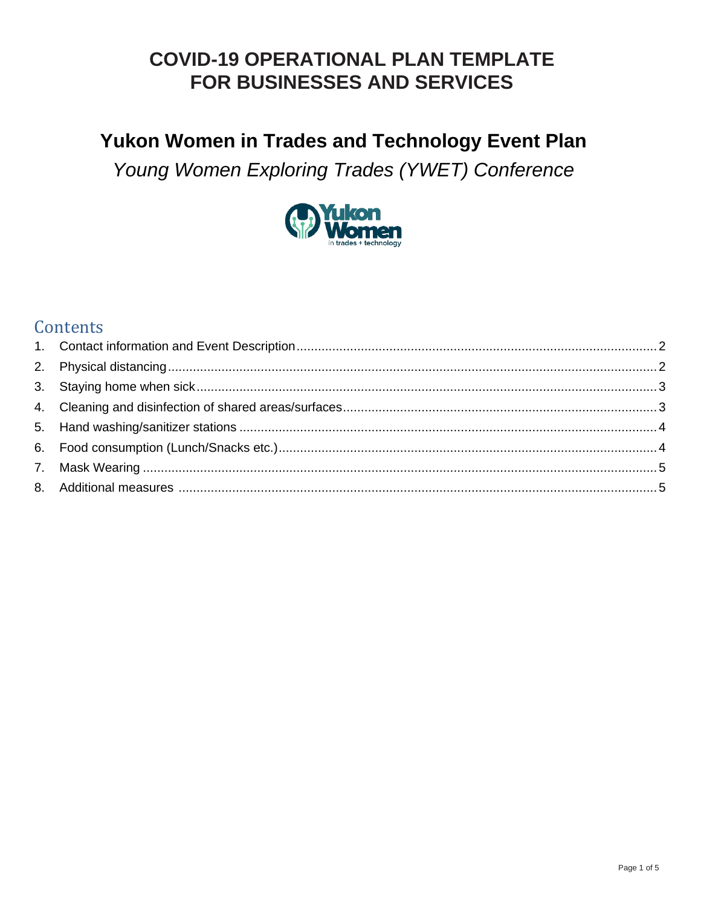### Yukon Women in Trades and Technology Event Plan

Young Women Exploring Trades (YWET) Conference



### Contents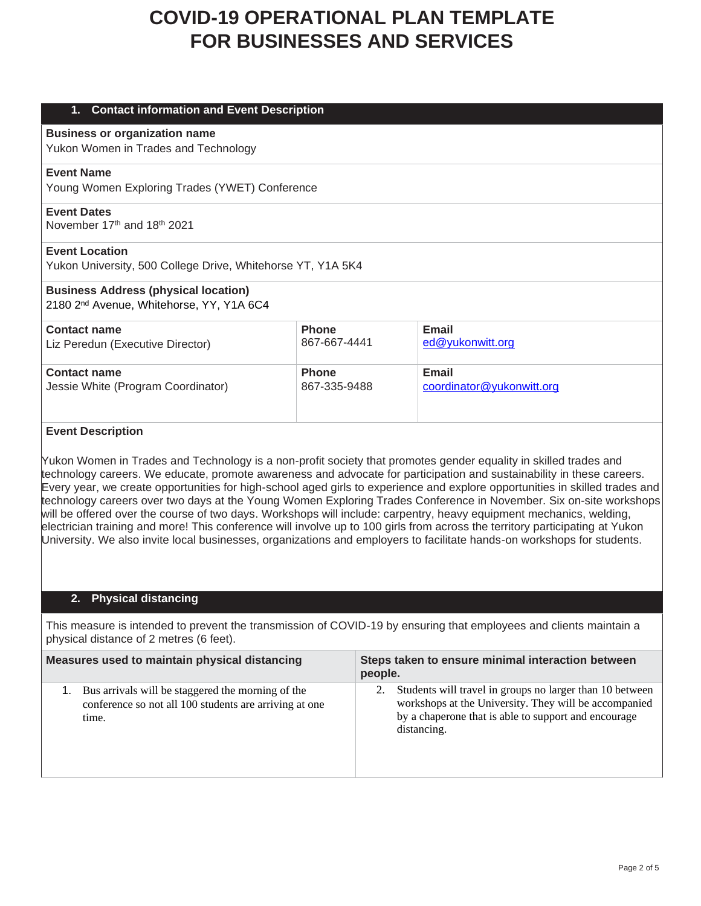| <b>Contact information and Event Description</b><br>1.      |              |                           |  |  |
|-------------------------------------------------------------|--------------|---------------------------|--|--|
| <b>Business or organization name</b>                        |              |                           |  |  |
| Yukon Women in Trades and Technology                        |              |                           |  |  |
| <b>Event Name</b>                                           |              |                           |  |  |
| Young Women Exploring Trades (YWET) Conference              |              |                           |  |  |
| <b>Event Dates</b>                                          |              |                           |  |  |
| November 17th and 18th 2021                                 |              |                           |  |  |
| <b>Event Location</b>                                       |              |                           |  |  |
| Yukon University, 500 College Drive, Whitehorse YT, Y1A 5K4 |              |                           |  |  |
| <b>Business Address (physical location)</b>                 |              |                           |  |  |
| 2180 2 <sup>nd</sup> Avenue, Whitehorse, YY, Y1A 6C4        |              |                           |  |  |
| <b>Contact name</b>                                         | <b>Phone</b> | <b>Email</b>              |  |  |
| Liz Peredun (Executive Director)                            | 867-667-4441 | ed@yukonwitt.org          |  |  |
| <b>Contact name</b>                                         | <b>Phone</b> | <b>Email</b>              |  |  |
| Jessie White (Program Coordinator)                          | 867-335-9488 | coordinator@yukonwitt.org |  |  |
|                                                             |              |                           |  |  |
|                                                             |              |                           |  |  |

#### **Event Description**

Yukon Women in Trades and Technology is a non-profit society that promotes gender equality in skilled trades and technology careers. We educate, promote awareness and advocate for participation and sustainability in these careers. Every year, we create opportunities for high-school aged girls to experience and explore opportunities in skilled trades and technology careers over two days at the Young Women Exploring Trades Conference in November. Six on-site workshops will be offered over the course of two days. Workshops will include: carpentry, heavy equipment mechanics, welding, electrician training and more! This conference will involve up to 100 girls from across the territory participating at Yukon University. We also invite local businesses, organizations and employers to facilitate hands-on workshops for students.

### **2. Physical distancing**

This measure is intended to prevent the transmission of COVID-19 by ensuring that employees and clients maintain a physical distance of 2 metres (6 feet).

| Measures used to maintain physical distancing |                                                                                                                      |  | Steps taken to ensure minimal interaction between<br>people.                                                                                                                             |  |  |
|-----------------------------------------------|----------------------------------------------------------------------------------------------------------------------|--|------------------------------------------------------------------------------------------------------------------------------------------------------------------------------------------|--|--|
|                                               | Bus arrivals will be staggered the morning of the<br>conference so not all 100 students are arriving at one<br>time. |  | Students will travel in groups no larger than 10 between<br>workshops at the University. They will be accompanied<br>by a chaperone that is able to support and encourage<br>distancing. |  |  |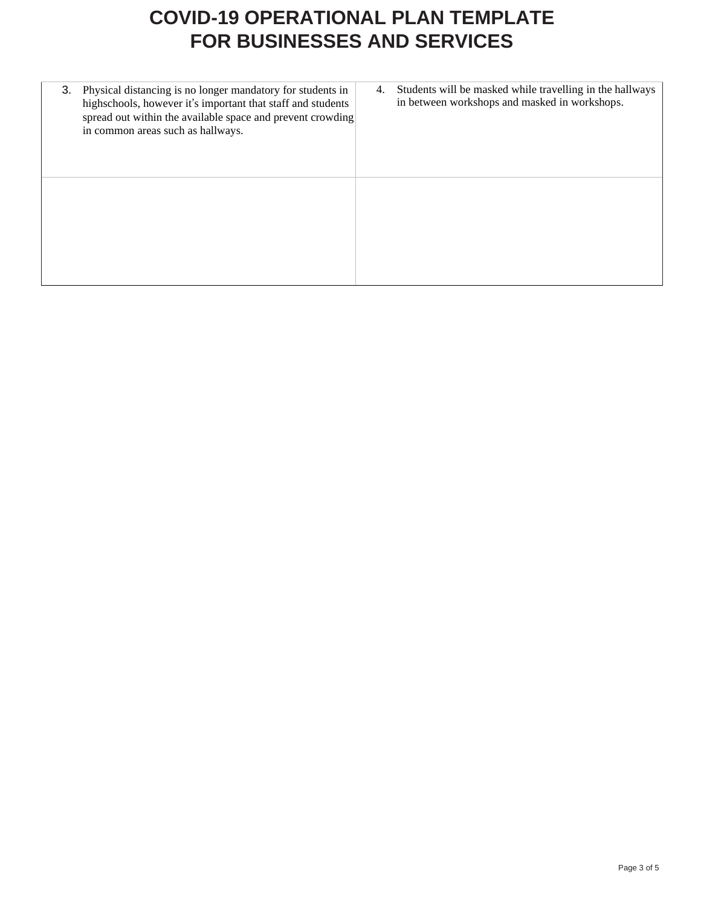| 3. | Physical distancing is no longer mandatory for students in<br>highschools, however it's important that staff and students<br>spread out within the available space and prevent crowding<br>in common areas such as hallways. | 4. | Students will be masked while travelling in the hallways<br>in between workshops and masked in workshops. |
|----|------------------------------------------------------------------------------------------------------------------------------------------------------------------------------------------------------------------------------|----|-----------------------------------------------------------------------------------------------------------|
|    |                                                                                                                                                                                                                              |    |                                                                                                           |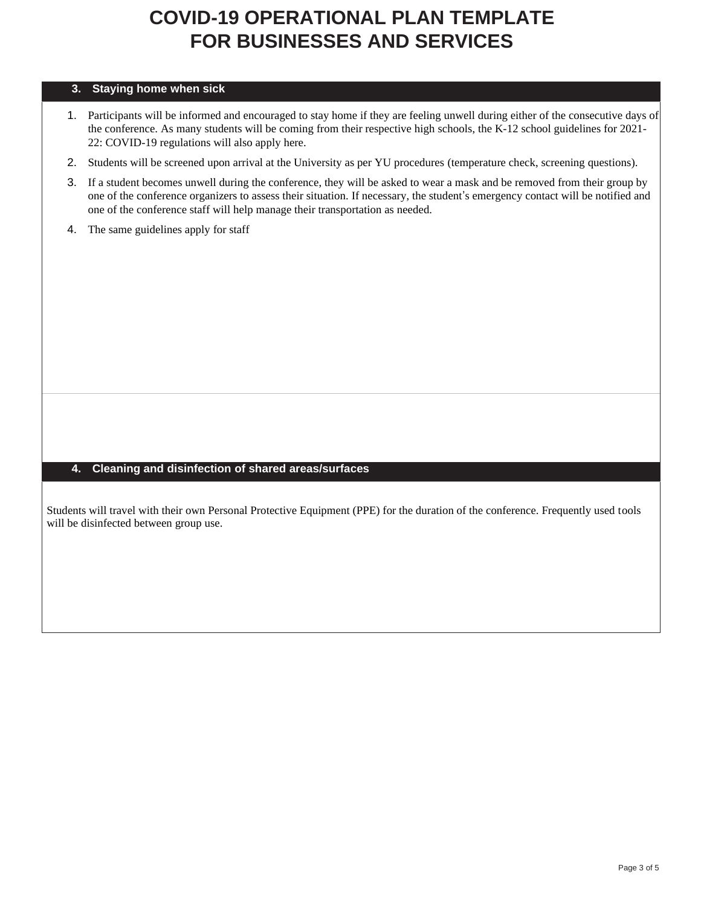#### **3. Staying home when sick**

- 1. Participants will be informed and encouraged to stay home if they are feeling unwell during either of the consecutive days of the conference. As many students will be coming from their respective high schools, the K-12 school guidelines for 2021- 22: COVID-19 regulations will also apply here.
- 2. Students will be screened upon arrival at the University as per YU procedures (temperature check, screening questions).
- 3. If a student becomes unwell during the conference, they will be asked to wear a mask and be removed from their group by one of the conference organizers to assess their situation. If necessary, the student's emergency contact will be notified and one of the conference staff will help manage their transportation as needed.
- 4. The same guidelines apply for staff

#### **4. Cleaning and disinfection of shared areas/surfaces**

Students will travel with their own Personal Protective Equipment (PPE) for the duration of the conference. Frequently used tools will be disinfected between group use.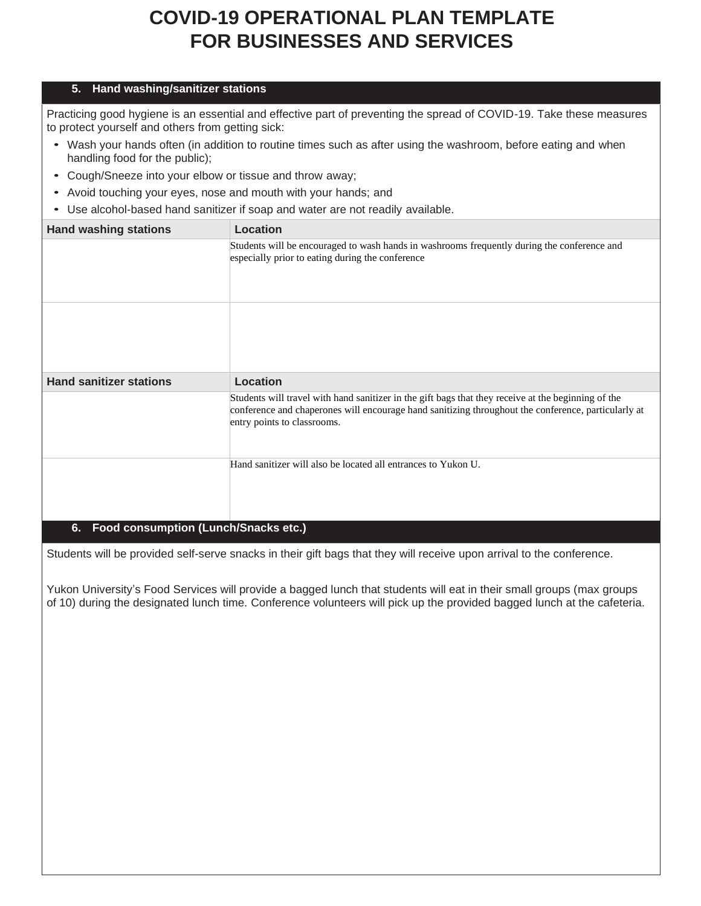#### **5. Hand washing/sanitizer stations**

Practicing good hygiene is an essential and effective part of preventing the spread of COVID-19. Take these measures to protect yourself and others from getting sick:

- Wash your hands often (in addition to routine times such as after using the washroom, before eating and when handling food for the public);
- Cough/Sneeze into your elbow or tissue and throw away;
- Avoid touching your eyes, nose and mouth with your hands; and
- Use alcohol-based hand sanitizer if soap and water are not readily available.

| <b>Hand washing stations</b>               | Location                                                                                                                                                                                                                                  |
|--------------------------------------------|-------------------------------------------------------------------------------------------------------------------------------------------------------------------------------------------------------------------------------------------|
|                                            | Students will be encouraged to wash hands in washrooms frequently during the conference and<br>especially prior to eating during the conference                                                                                           |
|                                            |                                                                                                                                                                                                                                           |
| <b>Hand sanitizer stations</b>             | Location                                                                                                                                                                                                                                  |
|                                            | Students will travel with hand sanitizer in the gift bags that they receive at the beginning of the<br>conference and chaperones will encourage hand sanitizing throughout the conference, particularly at<br>entry points to classrooms. |
|                                            | Hand sanitizer will also be located all entrances to Yukon U.                                                                                                                                                                             |
| Food consumption (Lunch/Snacks etc.)<br>6. |                                                                                                                                                                                                                                           |

Students will be provided self-serve snacks in their gift bags that they will receive upon arrival to the conference.

Yukon University's Food Services will provide a bagged lunch that students will eat in their small groups (max groups of 10) during the designated lunch time. Conference volunteers will pick up the provided bagged lunch at the cafeteria.